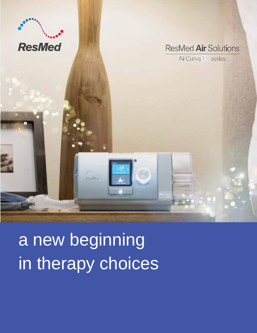

a new beginning in therapy choices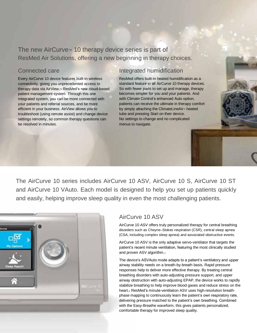The new AirCurve<sup>™</sup> 10 therapy device series is part of ResMed Air Solutions, offering a new beginning in therapy choices.

## Connected care

Every AirCurve 10 device features built-in wireless connectivity, giving you unprecedented access to therapy data via AirView,™ ResMed's new cloud-based patient management system. Through this one integrated system, you can be more connected with your patients and referral sources, and be more efficient in your business. AirView allows you to troubleshoot (using remote assist) and change device settings remotely, so common therapy questions can be resolved in minutes.

## Integrated humidification

ResMed offers built-in heated humidification as a standard feature in all AirCurve 10 therapy devices. So with fewer parts to set up and manage, therapy becomes simpler for you and your patients. And with Climate Control's enhanced Auto option, patients can receive the ultimate in therapy comfort by simply attaching the ClimateLineAir™ heated tube and pressing Start on their device. No settings to change and no complicated menus to navigate.

The AirCurve 10 series includes AirCurve 10 ASV, AirCurve 10 S, AirCurve 10 ST and AirCurve 10 VAuto. Each model is designed to help you set up patients quickly and easily, helping improve sleep quality in even the most challenging patients.



## AirCurve 10 ASV

AirCurve 10 ASV offers truly personalized therapy for central breathing disorders such as Cheyne–Stokes respiration (CSR), central sleep apnea (CSA, including complex sleep apnea) and associated obstructive events.

AirCurve 10 ASV is the only adaptive servo-ventilator that targets the patient's recent minute ventilation, featuring the most clinically studied and proven ASV algorithm.1

The device's ASVAuto mode adapts to a patient's ventilatory and upper airway stability needs on a breath-by-breath basis. Rapid pressure responses help to deliver more effective therapy. By treating central breathing disorders with auto-adjusting pressure support, and upper airway obstruction with auto-adjusting EPAP, the device works to rapidly stabilize breathing to help improve blood gases and reduce stress on the heart.<sup>2</sup> ResMed's minute-ventilation ASV uses high-resolution breathphase mapping to continuously learn the patient's own respiratory rate, delivering pressure matched to the patient's own breathing. Combined with the Easy-Breathe waveform, this gives patients personalized, comfortable therapy for improved sleep quality.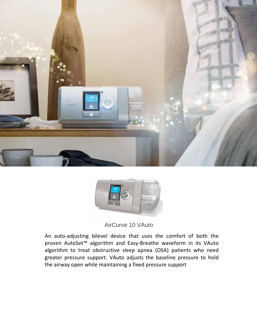



AirCurve 10 VAuto

A fixed-pressure bilevel device designed to design the set of the set of the set of the set of the set of the set of the set of the set of the set of the set of the set of the set of the set of the set of the set of the set of the set of the set of the s proven AutoSet™ algorithm and Easy-Breathe waveform in its VAuto range of patients, particularly  $\alpha$ angon complete complete control of the control of the control of the control of the control of the control of the control of the control of the control of the control of the control of the control of the control of the con An auto-adjusting bilevel device  $t_1$  uevice that uses  $m$ <sup>th to</sup> sloop appear active sieep aprica greater pressure support. VAuto adjusts the baseline pressure to hold patients intaining a fived n the airway open while maintaining a fixed pressure support  $T_{\rm eff}$  is a bileveloped 10 ST is a bileveloped 10 ST is a bileveloped 10 ST is a bileveloped 10 ST is a bileveloped 10 ST is a bileveloped 10 ST is a bileveloped 10 ST is a bileveloped 10 ST is a bileveloped 10 ST is a An auto-adjusting bilevel device that uses the comfort of both the  $to what no od$ algorithm to treat obstructive sleep apnea (OSA) patients who need